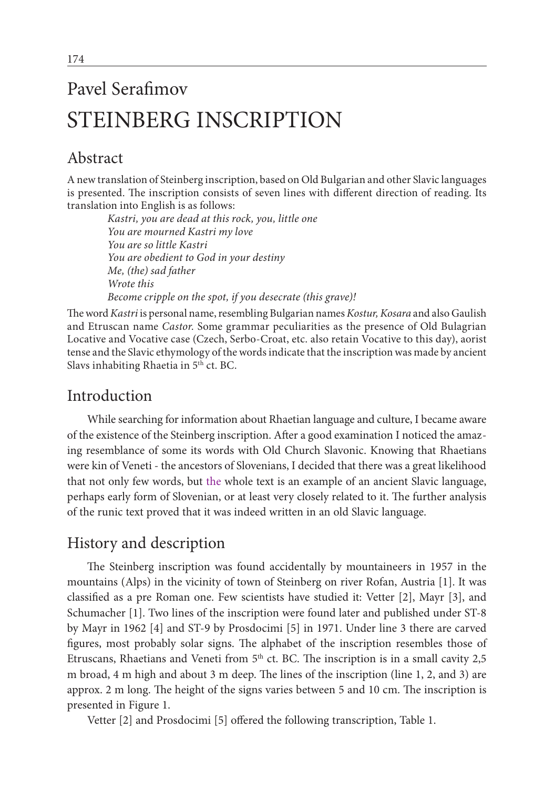# Pavel Serafimov STEINBERG INSCRIPTION

# Abstract

A new translation of Steinberg inscription, based on Old Bulgarian and other Slavic languages is presented. The inscription consists of seven lines with different direction of reading. Its translation into English is as follows:

*Kastri, you are dead at this rock, you, little one You are mourned Kastri my love You are so little Kastri You are obedient to God in your destiny Me, (the) sad father Wrote this Become cripple on the spot, if you desecrate (this grave)!*

The word*Kastri* is personal name, resembling Bulgarian names *Kostur, Kosara* and also Gaulish and Etruscan name *Castor*. Some grammar peculiarities as the presence of Old Bulagrian Locative and Vocative case (Czech, Serbo-Croat, etc. also retain Vocative to this day), aorist tense and the Slavic ethymology of the words indicate that the inscription was made by ancient Slavs inhabiting Rhaetia in 5<sup>th</sup> ct. BC.

## Introduction

While searching for information about Rhaetian language and culture, I became aware of the existence of the Steinberg inscription. After a good examination I noticed the amazing resemblance of some its words with Old Church Slavonic. Knowing that Rhaetians were kin of Veneti - the ancestors of Slovenians, I decided that there was a great likelihood that not only few words, but the whole text is an example of an ancient Slavic language, perhaps early form of Slovenian, or at least very closely related to it. The further analysis of the runic text proved that it was indeed written in an old Slavic language.

## History and description

The Steinberg inscription was found accidentally by mountaineers in 1957 in the mountains (Alps) in the vicinity of town of Steinberg on river Rofan, Austria [1]. It was classified as a pre Roman one. Few scientists have studied it: Vetter [2], Mayr [3], and Schumacher [1]. Two lines of the inscription were found later and published under ST-8 by Mayr in 1962 [4] and ST-9 by Prosdocimi [5] in 1971. Under line 3 there are carved figures, most probably solar signs. The alphabet of the inscription resembles those of Etruscans, Rhaetians and Veneti from 5<sup>th</sup> ct. BC. The inscription is in a small cavity 2,5 m broad, 4 m high and about 3 m deep. The lines of the inscription (line 1, 2, and 3) are approx. 2 m long. The height of the signs varies between 5 and 10 cm. The inscription is presented in Figure 1.

Vetter [2] and Prosdocimi [5] offered the following transcription, Table 1.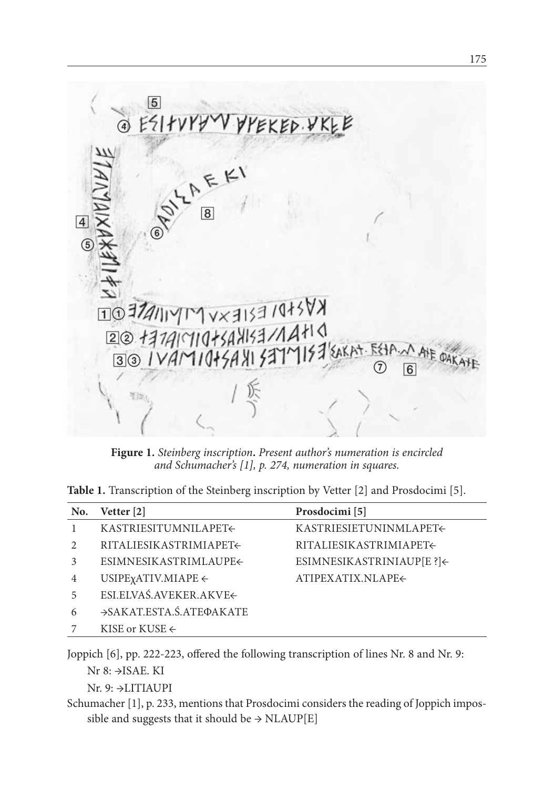

**Figure 1.** *Steinberg inscription***.** *Present author's numeration is encircled and Schumacher's [1], p. 274, numeration in squares.* 

|  |  | Table 1. Transcription of the Steinberg inscription by Vetter [2] and Prosdocimi [5]. |  |  |  |  |  |  |
|--|--|---------------------------------------------------------------------------------------|--|--|--|--|--|--|
|--|--|---------------------------------------------------------------------------------------|--|--|--|--|--|--|

| No.            | Vetter [2]                           | Prosdocimi [5]            |
|----------------|--------------------------------------|---------------------------|
| 1              | KASTRIESITUMNILAPET←                 | KASTRIESIETUNINMLAPET←    |
| $\mathfrak{D}$ | RITALIESIKASTRIMIAPET←               | RITALIESIKASTRIMIAPET←    |
| 3              | ESIMNESIKASTRIMLAUPE←                | ESIMNESIKASTRINIAUP[E ?]< |
| $\overline{4}$ | USIPE $\chi$ ATIV.MIAPE $\leftarrow$ | ATIPEXATIX.NLAPE←         |
| 5              | ESI.ELVAŚ.AVEKER.AKVE←               |                           |
| 6              | →SAKAT.ESTA.Ś.ATEФAKATE              |                           |
|                | KISE or KUSE $\leftarrow$            |                           |

Joppich [6], pp. 222-223, offered the following transcription of lines Nr. 8 and Nr. 9:

Nr 8: →ISAE. KI

Nr. 9: →LITIAUPI

Schumacher [1], p. 233, mentions that Prosdocimi considers the reading of Joppich impossible and suggests that it should be  $\rightarrow$  NLAUP[E]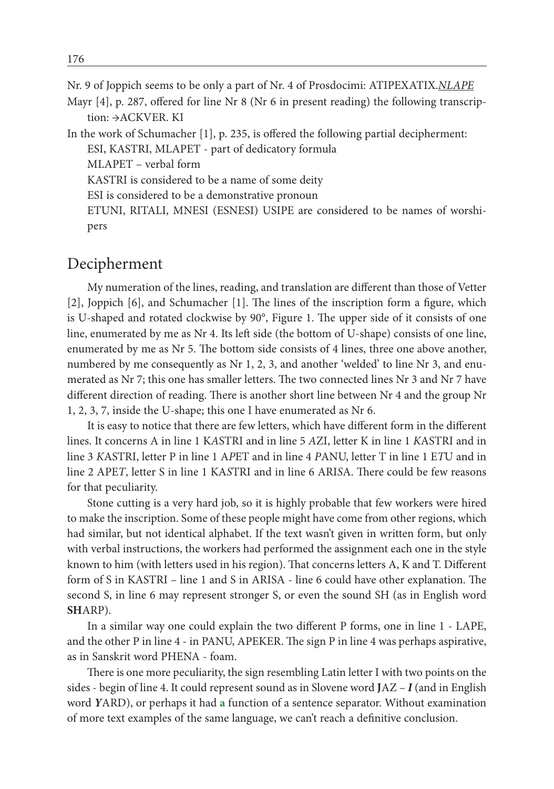Nr. 9 of Joppich seems to be only a part of Nr. 4 of Prosdocimi: ATIPEXATIX.*NLAPE*

Mayr [4], p. 287, offered for line Nr 8 (Nr 6 in present reading) the following transcription: →ACKVER. KI

In the work of Schumacher [1], p. 235, is offered the following partial decipherment: ESI, KASTRI, MLAPET - part of dedicatory formula MLAPET – verbal form KASTRI is considered to be a name of some deity ESI is considered to be a demonstrative pronoun ETUNI, RITALI, MNESI (ESNESI) USIPE are considered to be names of worshipers

#### Decipherment

My numeration of the lines, reading, and translation are different than those of Vetter [2], Joppich [6], and Schumacher [1]. The lines of the inscription form a figure, which is U-shaped and rotated clockwise by 90°, Figure 1. The upper side of it consists of one line, enumerated by me as Nr 4. Its left side (the bottom of U-shape) consists of one line, enumerated by me as Nr 5. The bottom side consists of 4 lines, three one above another, numbered by me consequently as Nr 1, 2, 3, and another 'welded' to line Nr 3, and enumerated as Nr 7; this one has smaller letters. The two connected lines Nr 3 and Nr 7 have different direction of reading. There is another short line between Nr 4 and the group Nr 1, 2, 3, 7, inside the U-shape; this one I have enumerated as Nr 6.

It is easy to notice that there are few letters, which have different form in the different lines. It concerns A in line 1 K*A*STRI and in line 5 *A*ZI, letter K in line 1 *K*ASTRI and in line 3 *K*ASTRI, letter P in line 1 A*P*ET and in line 4 *P*ANU, letter T in line 1 E*T*U and in line 2 APE*T*, letter S in line 1 KA*S*TRI and in line 6 ARI*S*A. There could be few reasons for that peculiarity.

Stone cutting is a very hard job, so it is highly probable that few workers were hired to make the inscription. Some of these people might have come from other regions, which had similar, but not identical alphabet. If the text wasn't given in written form, but only with verbal instructions, the workers had performed the assignment each one in the style known to him (with letters used in his region). That concerns letters A, K and T. Different form of S in KASTRI – line 1 and S in ARISA - line 6 could have other explanation. The second S, in line 6 may represent stronger S, or even the sound SH (as in English word **SH**ARP).

In a similar way one could explain the two different P forms, one in line 1 - LAPE, and the other P in line 4 - in PANU, APEKER. The sign P in line 4 was perhaps aspirative, as in Sanskrit word PHENA - foam.

There is one more peculiarity, the sign resembling Latin letter I with two points on the sides - begin of line 4. It could represent sound as in Slovene word **J**AZ – *I* (and in English word *Y*ARD), or perhaps it had **a** function of a sentence separator. Without examination of more text examples of the same language, we can't reach a definitive conclusion.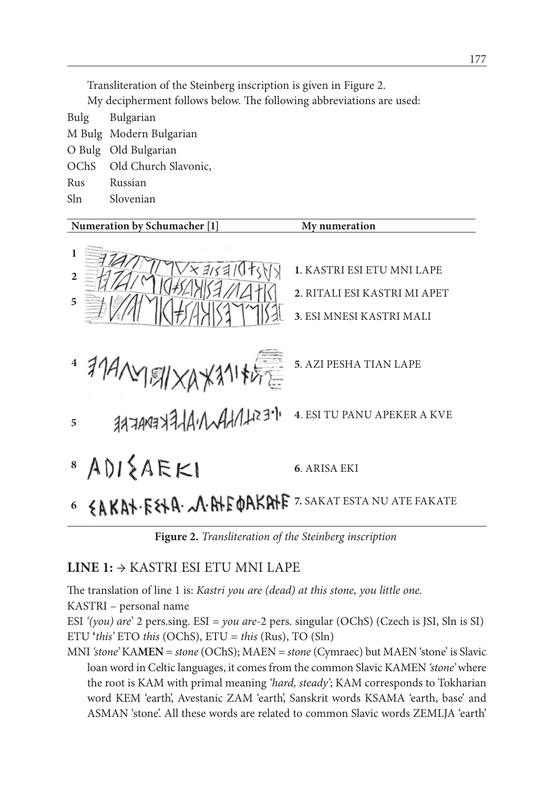Transliteration of the Steinberg inscription is given in Figure 2.

My decipherment follows below. The following abbreviations are used:

Bulg Bulgarian M Bulg Modern Bulgarian O Bulg Old Bulgarian OChS Old Church Slavonic, Rus Russian Sln Slovenian



**Figure 2.** *Transliteration of the Steinberg inscription*

#### **LINE 1:** → KASTRI ESI ETU MNI LAPE

The translation of line 1 is: *Kastri you are (dead) at this stone, you little one.* KASTRI – personal name ESI *'(you) are*' 2 pers.sing. ESI = *you are*-2 pers. singular (OChS) (Czech is JSI, Sln is SI) ETU **'***this'* ETO *this* (OChS), ETU = *this* (Rus), TO (Sln)

MNI *'stone'* KA**MEN** = *stone* (OChS); MAEN = *stone* (Cymraec) but MAEN 'stone' is Slavic loan word in Celtic languages, it comes from the common Slavic KAMEN *'stone'* where the root is KAM with primal meaning *'hard, steady'*; KAM corresponds to Tokharian word KEM 'earth', Avestanic ZAM 'earth', Sanskrit words KSAMA 'earth, base' and ASMAN 'stone'. All these words are related to common Slavic words ZEMLJA 'earth'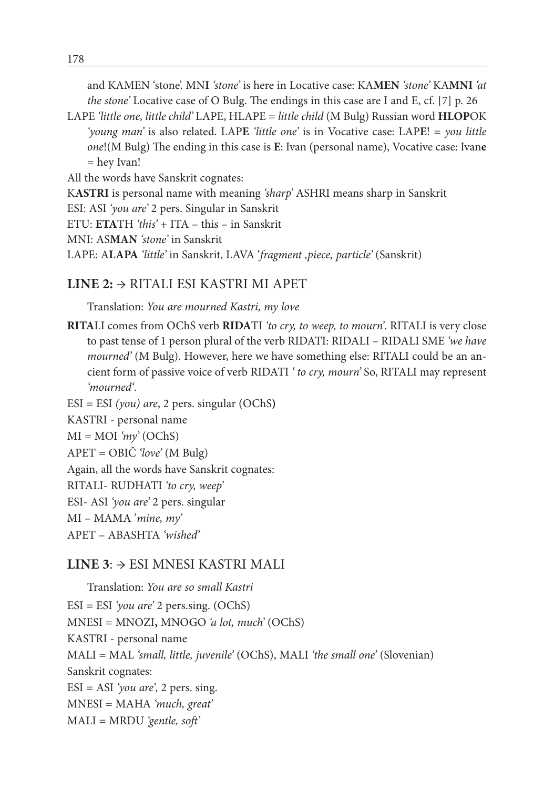and KAMEN 'stone'. MN**I** *'stone'* is here in Locative case: KA**MEN** *'stone'* KA**MNI** *'at the stone'* Locative case of O Bulg. The endings in this case are I and E, cf. [7] p. 26

LAPE *'little one, little child'* LAPE, HLAPE = *little child* (M Bulg) Russian word **HLOP**OK *'young man'* is also related. LAP**E** *'little one'* is in Vocative case: LAP**E**! = *you little one*!(M Bulg) The ending in this case is **E**: Ivan (personal name), Vocative case: Ivan**e** = hey Ivan!

All the words have Sanskrit cognates:

K**ASTRI** is personal name with meaning *'sharp'* ASHRI means sharp in Sanskrit

ESI: ASI *'you are'* 2 pers. Singular in Sanskrit

ETU: **ETA**TH *'this'* + ITA – this – in Sanskrit

MNI: AS**MAN** *'stone'* in Sanskrit

LAPE: A**LAPA** *'little'* in Sanskrit, LAVA '*fragment ,piece, particle'* (Sanskrit)

#### **LINE 2:** → RITALI ESI KASTRI MI APET

Translation: *You are mourned Kastri, my love*

**RITA**LI comes from OChS verb **RIDA**TI *'to cry, to weep, to mourn'*. RITALI is very close to past tense of 1 person plural of the verb RIDATI: RIDALI – RIDALI SME *'we have mourned'* (M Bulg). However, here we have something else: RITALI could be an ancient form of passive voice of verb RIDATI *' to cry, mourn'* So, RITALI may represent *'mourned'*.

ESI = ESI *(you) are*, 2 pers. singular (OChS**)**

KASTRI - personal name

MI = MOI *'my'* (OChS)

APET = OBIČ *'love'* (M Bulg)

Again, all the words have Sanskrit cognates:

RITALI- RUDHATI *'to cry, weep'*

ESI- ASI *'you are'* 2 pers. singular

MI – MAMA '*mine, my'*

APET – ABASHTA *'wished'*

#### **LINE 3**: → ESI MNESI KASTRI MALI

Translation: *You are so small Kastri* ESI = ESI *'you are'* 2 pers.sing. (OChS) MNESI = MNOZI**,** MNOGO *'a lot, much'* (OChS) KASTRI - personal name MALI = MAL *'small, little, juvenile'* (OChS), MALI *'the small one'* (Slovenian) Sanskrit cognates: ESI = ASI *'you are',* 2 pers. sing. MNESI = MAHA *'much, great'* MALI = MRDU *'gentle, soft'*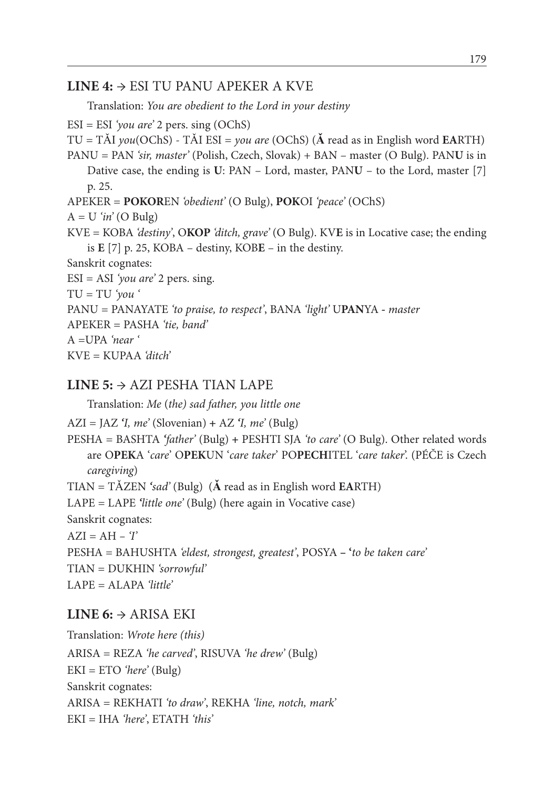#### **LINE 4:** → ESI TU PANU APEKER A KVE

Translation: *You are obedient to the Lord in your destiny*

ESI = ESI *'you are'* 2 pers. sing (OChS) TU = TǍI *you*(OChS) - TǍI ESI = *you are* (OChS) (**Ǎ** read as in English word **EA**RTH) PANU = PAN *'sir, master'* (Polish, Czech, Slovak) + BAN – master (O Bulg). PAN**U** is in Dative case, the ending is **U**: PAN – Lord, master, PAN**U** – to the Lord, master [7] p. 25. APEKER = **POKOR**EN *'obedient'* (O Bulg), **POK**OI *'peace'* (OChS)  $A = U'$ *in'* (O Bulg) KVE = KOBA *'destiny'*, O**KOP** *'ditch, grave'* (O Bulg). KV**E** is in Locative case; the ending is **E** [7] p. 25, KOBA – destiny, KOB**E** – in the destiny. Sanskrit cognates: ESI = ASI *'you are'* 2 pers. sing.  $TU = TU'$ *you* PANU = PANAYATE *'to praise, to respect'*, BANA *'light'* U**PAN**YA **-** *master* APEKER = PASHA *'tie, band'* A =UPA *'near '* KVE = KUPAA *'ditch'*

#### **LINE 5:** → AZI PESHA TIAN LAPE

Translation: *Me* (*the) sad father, you little one*

AZI = JAZ *'I, me'* (Slovenian) **+** AZ *'I, me'* (Bulg)

PESHA = BASHTA *'father'* (Bulg) **+** PESHTI SJA *'to care'* (O Bulg). Other related words are O**PEK**A '*care*' O**PEK**UN '*care taker*' PO**PECH**ITEL '*care taker*'. (PÉČE is Czech *caregiving*)

TIAN = TǍZEN *'sad'* (Bulg)(**Ǎ** read as in English word **EA**RTH)

LAPE = LAPE *'little one'* (Bulg) (here again in Vocative case)

Sanskrit cognates:

 $AZI = AH - T'$ 

PESHA = BAHUSHTA *'eldest, strongest, greatest'*, POSYA **– '***to be taken care'*

TIAN = DUKHIN *'sorrowful'*

LAPE = ALAPA *'little'*

#### **LINE 6:**  $\rightarrow$  ARISA EKI

Translation: *Wrote here (this)* ARISA = REZA *'he carved'*, RISUVA *'he drew'* (Bulg) EKI = ETO *'here'* (Bulg) Sanskrit cognates: ARISA = REKHATI *'to draw'*, REKHA *'line, notch, mark'* EKI = IHA *'here'*, ETATH *'this'*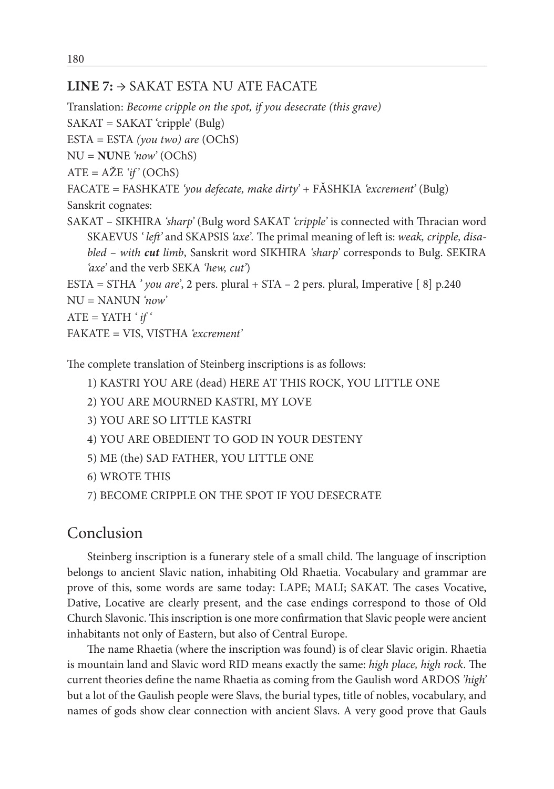#### **LINE 7:** → SAKAT ESTA NU ATE FACATE

Translation: *Become cripple on the spot, if you desecrate (this grave)*

 $SAKAT = SAKAT 'cripple' (Bulg)$ 

ESTA = ESTA *(you two) are* (OChS)

NU = **NU**NE *'now'* (OChS)

ATE = AŽE *'if'* (OChS)

FACATE = FASHKATE *'you defecate, make dirty'* + FǍSHKIA *'excrement'* (Bulg)

Sanskrit cognates:

SAKAT – SIKHIRA *'sharp'* (Bulg word SAKAT *'cripple'* is connected with Thracian word SKAEVUS *' left'* and SKAPSIS *'axe'.* The primal meaning of left is: *weak, cripple, disabled – with cut limb*, Sanskrit word SIKHIRA *'sharp'* corresponds to Bulg. SEKIRA *'axe'* and the verb SEKA *'hew, cut'*)

ESTA = STHA *' you are'*, 2 pers. plural + STA – 2 pers. plural, Imperative [ 8] p.240 NU = NANUN *'now'*

ATE = YATH *' if '*

FAKATE = VIS, VISTHA *'excrement'*

The complete translation of Steinberg inscriptions is as follows:

1) KASTRI YOU ARE (dead) HERE AT THIS ROCK, YOU LITTLE ONE

- 2) YOU ARE MOURNED KASTRI, MY LOVE
- 3) YOU ARE SO LITTLE KASTRI
- 4) YOU ARE OBEDIENT TO GOD IN YOUR DESTENY
- 5) ME (the) SAD FATHER, YOU LITTLE ONE
- 6) WROTE THIS
- 7) BECOME CRIPPLE ON THE SPOT IF YOU DESECRATE

## Conclusion

Steinberg inscription is a funerary stele of a small child. The language of inscription belongs to ancient Slavic nation, inhabiting Old Rhaetia. Vocabulary and grammar are prove of this, some words are same today: LAPE; MALI; SAKAT. The cases Vocative, Dative, Locative are clearly present, and the case endings correspond to those of Old Church Slavonic. This inscription is one more confirmation that Slavic people were ancient inhabitants not only of Eastern, but also of Central Europe.

The name Rhaetia (where the inscription was found) is of clear Slavic origin. Rhaetia is mountain land and Slavic word RID means exactly the same: *high place, high rock*. The current theories define the name Rhaetia as coming from the Gaulish word ARDOS *'high'* but a lot of the Gaulish people were Slavs, the burial types, title of nobles, vocabulary, and names of gods show clear connection with ancient Slavs. A very good prove that Gauls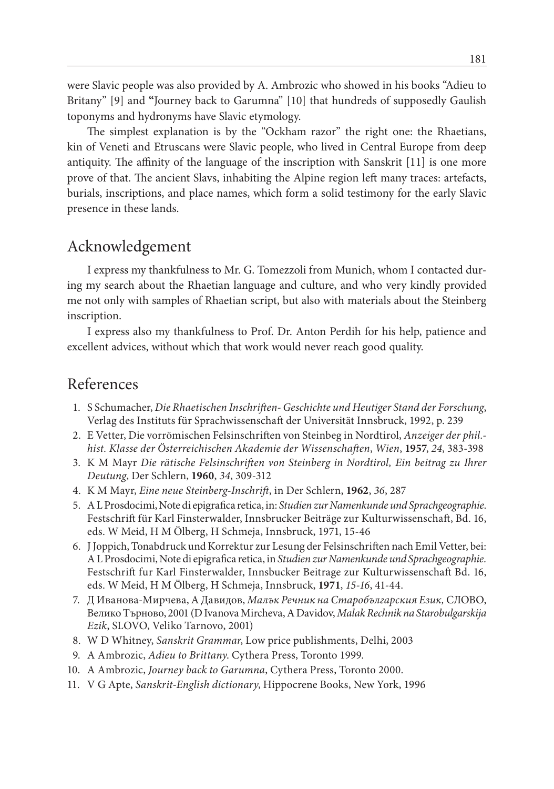were Slavic people was also provided by A. Ambrozic who showed in his books "Adieu to Britany" [9] and **"**Journey back to Garumna" [10] that hundreds of supposedly Gaulish toponyms and hydronyms have Slavic etymology.

The simplest explanation is by the "Ockham razor" the right one: the Rhaetians, kin of Veneti and Etruscans were Slavic people, who lived in Central Europe from deep antiquity. The affinity of the language of the inscription with Sanskrit [11] is one more prove of that. The ancient Slavs, inhabiting the Alpine region left many traces: artefacts, burials, inscriptions, and place names, which form a solid testimony for the early Slavic presence in these lands.

## Acknowledgement

I express my thankfulness to Mr. G. Tomezzoli from Munich, whom I contacted during my search about the Rhaetian language and culture, and who very kindly provided me not only with samples of Rhaetian script, but also with materials about the Steinberg inscription.

I express also my thankfulness to Prof. Dr. Anton Perdih for his help, patience and excellent advices, without which that work would never reach good quality.

#### References

- 1. S Schumacher, *Die Rhaetischen Inschriften- Geschichte und Heutiger Stand der Forschung*, Verlag des Instituts für Sprachwissenschaft der Universität Innsbruck, 1992, p. 239
- 2. E Vetter, Die vorrömischen Felsinschriften von Steinbeg in Nordtirol, *Anzeiger der phil. hist. Klasse der Österreichischen Akademie der Wissenschaften*, *Wien*, **1957**, *24*, 383-398
- 3. K M Mayr *Die rätische Felsinschriften von Steinberg in Nordtirol, Ein beitrag zu Ihrer Deutung*, Der Schlern, **1960**, *34*, 309-312
- 4. K M Mayr, *Eine neue Steinberg-Inschrift*, in Der Schlern, **1962**, *36*, 287
- 5. A L Prosdocimi, Note di epigrafica retica, in: *Studien zur Namenkunde und Sprachgeographie*. Festschrift für Karl Finsterwalder, Innsbrucker Beiträge zur Kulturwissenschaft, Bd. 16, eds. W Meid, H M Ölberg, H Schmeja, Innsbruck, 1971, 15-46
- 6. J Joppich, Tonabdruck und Korrektur zur Lesung der Felsinschriften nach Emil Vetter, bei: A L Prosdocimi, Note di epigrafica retica, in *Studien zur Namenkunde und Sprachgeographie.* Festschrift fur Karl Finsterwalder, Innsbucker Beitrage zur Kulturwissenschaft Bd. 16, eds. W Meid, H M Ölberg, H Schmeja, Innsbruck, **1971**, *15-16*, 41-44.
- 7. Д Иванова-Мирчева, А Давидов, *Малък Речник на Старобългарския Език,* СЛОВО, Велико Търново, 2001 (D Ivanova Mircheva, A Davidov, *Malak Rechnik na Starobulgarskija Ezik*, SLOVO, Veliko Tarnovo, 2001)
- 8. W D Whitney, *Sanskrit Grammar*, Low price publishments, Delhi, 2003
- 9. A Ambrozic, *Adieu to Brittany*. Cythera Press, Toronto 1999.
- 10. A Ambrozic, *Journey back to Garumna*, Cythera Press, Toronto 2000.
- 11. V G Apte, *Sanskrit-English dictionary*, Hippocrene Books, New York, 1996